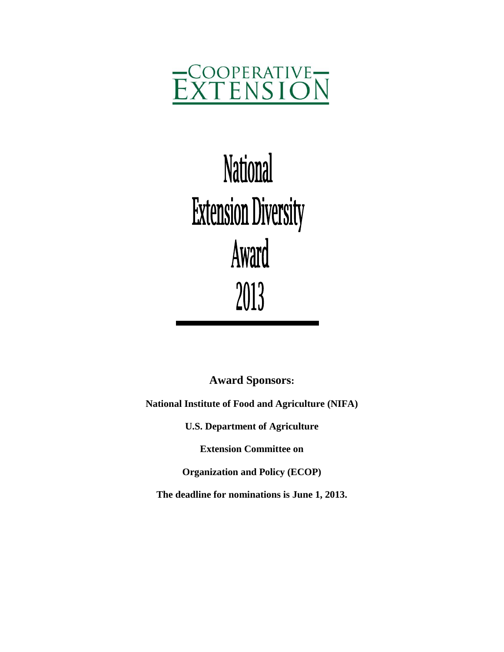

# **National Extension Diversity** Award 2013

**Award Sponsors:**

**National Institute of Food and Agriculture (NIFA)**

**U.S. Department of Agriculture**

**Extension Committee on**

**Organization and Policy (ECOP)**

**The deadline for nominations is June 1, 2013.**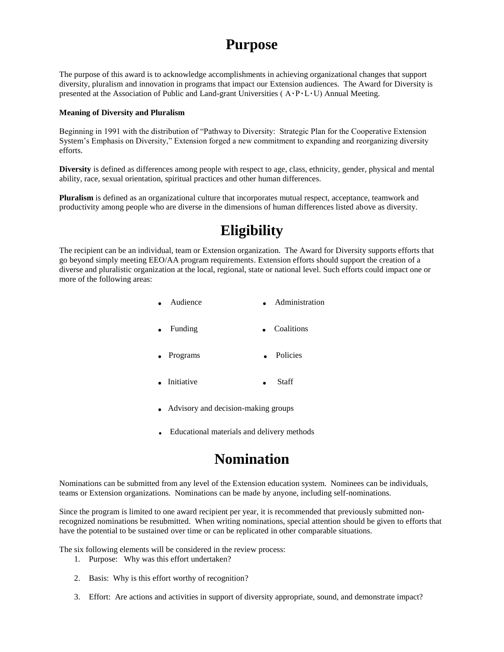# **Purpose**

The purpose of this award is to acknowledge accomplishments in achieving organizational changes that support diversity, pluralism and innovation in programs that impact our Extension audiences. The Award for Diversity is presented at the Association of Public and Land-grant Universities ( $A \cdot P \cdot L \cdot U$ ) Annual Meeting.

#### **Meaning of Diversity and Pluralism**

Beginning in 1991 with the distribution of "Pathway to Diversity: Strategic Plan for the Cooperative Extension System's Emphasis on Diversity," Extension forged a new commitment to expanding and reorganizing diversity efforts.

**Diversity** is defined as differences among people with respect to age, class, ethnicity, gender, physical and mental ability, race, sexual orientation, spiritual practices and other human differences.

**Pluralism** is defined as an organizational culture that incorporates mutual respect, acceptance, teamwork and productivity among people who are diverse in the dimensions of human differences listed above as diversity.

# **Eligibility**

The recipient can be an individual, team or Extension organization. The Award for Diversity supports efforts that go beyond simply meeting EEO/AA program requirements. Extension efforts should support the creation of a diverse and pluralistic organization at the local, regional, state or national level. Such efforts could impact one or more of the following areas:

| $\bullet$ Audience | $\bullet$ | Administration |
|--------------------|-----------|----------------|
| $\bullet$ Funding  | $\bullet$ | Coalitions     |
| • Programs         |           | Policies       |

- . Initiative . Staff
	- . Advisory and decision-making groups
	- . Educational materials and delivery methods

### **Nomination**

Nominations can be submitted from any level of the Extension education system. Nominees can be individuals, teams or Extension organizations. Nominations can be made by anyone, including self-nominations.

Since the program is limited to one award recipient per year, it is recommended that previously submitted nonrecognized nominations be resubmitted. When writing nominations, special attention should be given to efforts that have the potential to be sustained over time or can be replicated in other comparable situations.

The six following elements will be considered in the review process:

- 1. Purpose: Why was this effort undertaken?
- 2. Basis: Why is this effort worthy of recognition?
- 3. Effort: Are actions and activities in support of diversity appropriate, sound, and demonstrate impact?